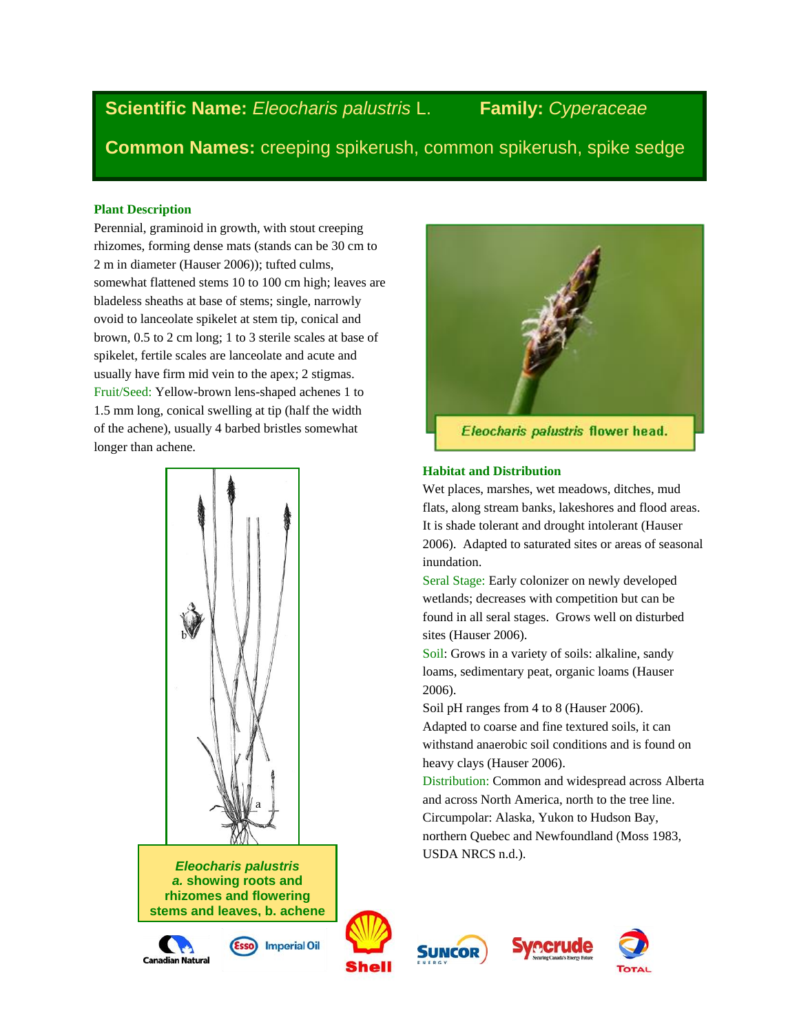# **Scientific Name:** *Eleocharis palustris* L. **Family:** *Cyperaceae*

**Common Names:** creeping spikerush, common spikerush, spike sedge

#### **Plant Description**

`

Perennial, graminoid in growth, with stout creeping rhizomes, forming dense mats (stands can be 30 cm to 2 m in diameter (Hauser 2006)); tufted culms, somewhat flattened stems 10 to 100 cm high; leaves are bladeless sheaths at base of stems; single, narrowly ovoid to lanceolate spikelet at stem tip, conical and brown, 0.5 to 2 cm long; 1 to 3 sterile scales at base of spikelet, fertile scales are lanceolate and acute and usually have firm mid vein to the apex; 2 stigmas. Fruit/Seed: Yellow-brown lens-shaped achenes 1 to 1.5 mm long, conical swelling at tip (half the width of the achene), usually 4 barbed bristles somewhat longer than achene.



*Eleocharis palustris a.* **showing roots and rhizomes and flowering stems and leaves, b. achene** 

**(seed).**



**Imperial Oil** 













Eleocharis palustris flower head.

#### **Habitat and Distribution**

Wet places, marshes, wet meadows, ditches, mud flats, along stream banks, lakeshores and flood areas. It is shade tolerant and drought intolerant (Hauser 2006). Adapted to saturated sites or areas of seasonal inundation.

Seral Stage: Early colonizer on newly developed wetlands; decreases with competition but can be found in all seral stages. Grows well on disturbed sites (Hauser 2006).

Soil: Grows in a variety of soils: alkaline, sandy loams, sedimentary peat, organic loams (Hauser 2006).

Soil pH ranges from 4 to 8 (Hauser 2006). Adapted to coarse and fine textured soils, it can

withstand anaerobic soil conditions and is found on heavy clays (Hauser 2006).

Distribution: Common and widespread across Alberta and across North America, north to the tree line. Circumpolar: Alaska, Yukon to Hudson Bay, northern Quebec and Newfoundland (Moss 1983, USDA NRCS n.d.).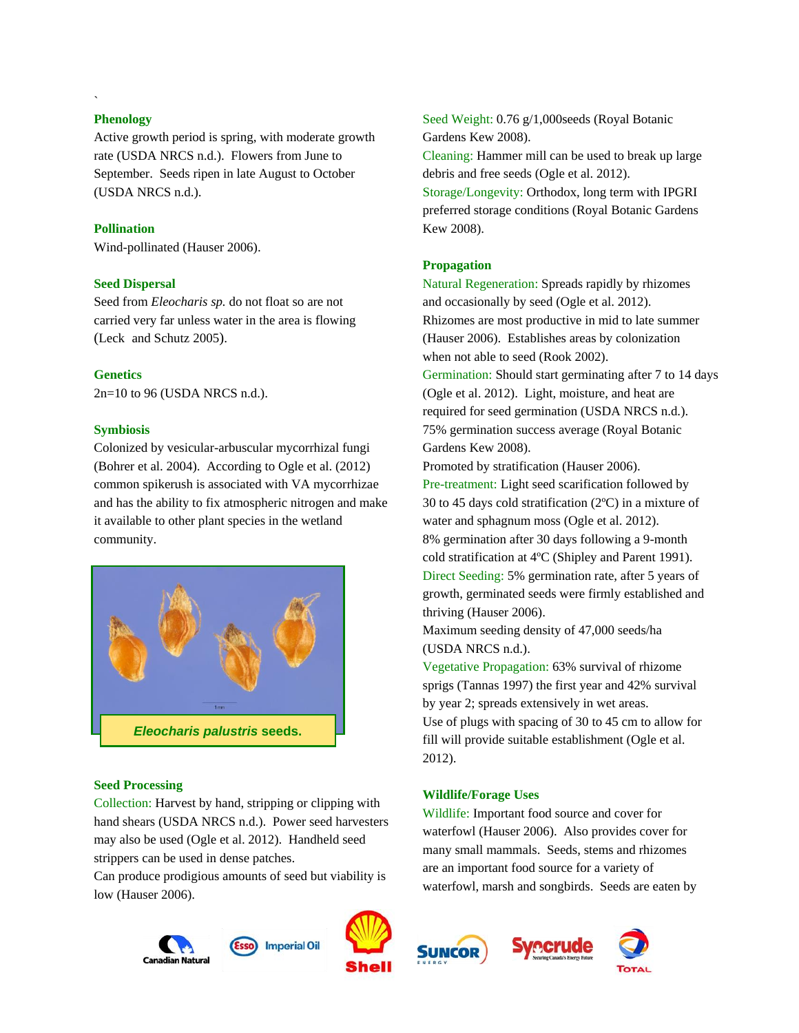### **Phenology**

`

Active growth period is spring, with moderate growth rate (USDA NRCS n.d.). Flowers from June to September. Seeds ripen in late August to October (USDA NRCS n.d.).

# **Pollination**

Wind-pollinated (Hauser 2006).

### **Seed Dispersal**

Seed from *Eleocharis sp.* do not float so are not carried very far unless water in the area is flowing (Leck and Schutz 2005).

# **Genetics**

2n=10 to 96 (USDA NRCS n.d.).

# **Symbiosis**

Colonized by vesicular-arbuscular mycorrhizal fungi (Bohrer et al. 2004). According to Ogle et al. (2012) common spikerush is associated with VA mycorrhizae and has the ability to fix atmospheric nitrogen and make it available to other plant species in the wetland community.



### **Seed Processing**

Collection: Harvest by hand, stripping or clipping with hand shears (USDA NRCS n.d.). Power seed harvesters may also be used (Ogle et al. 2012). Handheld seed strippers can be used in dense patches.

Can produce prodigious amounts of seed but viability is low (Hauser 2006).





Seed Weight: 0.76 g/1,000seeds (Royal Botanic Gardens Kew 2008).

Cleaning: Hammer mill can be used to break up large debris and free seeds (Ogle et al. 2012).

Storage/Longevity: Orthodox, long term with IPGRI preferred storage conditions (Royal Botanic Gardens Kew 2008).

# **Propagation**

Natural Regeneration: Spreads rapidly by rhizomes and occasionally by seed (Ogle et al. 2012). Rhizomes are most productive in mid to late summer (Hauser 2006). Establishes areas by colonization when not able to seed (Rook 2002).

Germination: Should start germinating after 7 to 14 days (Ogle et al. 2012). Light, moisture, and heat are required for seed germination (USDA NRCS n.d.). 75% germination success average (Royal Botanic Gardens Kew 2008).

Promoted by stratification (Hauser 2006).

Pre-treatment: Light seed scarification followed by 30 to 45 days cold stratification (2ºC) in a mixture of water and sphagnum moss (Ogle et al. 2012). 8% germination after 30 days following a 9-month cold stratification at 4ºC (Shipley and Parent 1991). Direct Seeding: 5% germination rate, after 5 years of growth, germinated seeds were firmly established and thriving (Hauser 2006).

Maximum seeding density of 47,000 seeds/ha (USDA NRCS n.d.).

Vegetative Propagation: 63% survival of rhizome sprigs (Tannas 1997) the first year and 42% survival by year 2; spreads extensively in wet areas. Use of plugs with spacing of 30 to 45 cm to allow for fill will provide suitable establishment (Ogle et al. 2012).

# **Wildlife/Forage Uses**

Wildlife: Important food source and cover for waterfowl (Hauser 2006). Also provides cover for many small mammals. Seeds, stems and rhizomes are an important food source for a variety of waterfowl, marsh and songbirds. Seeds are eaten by





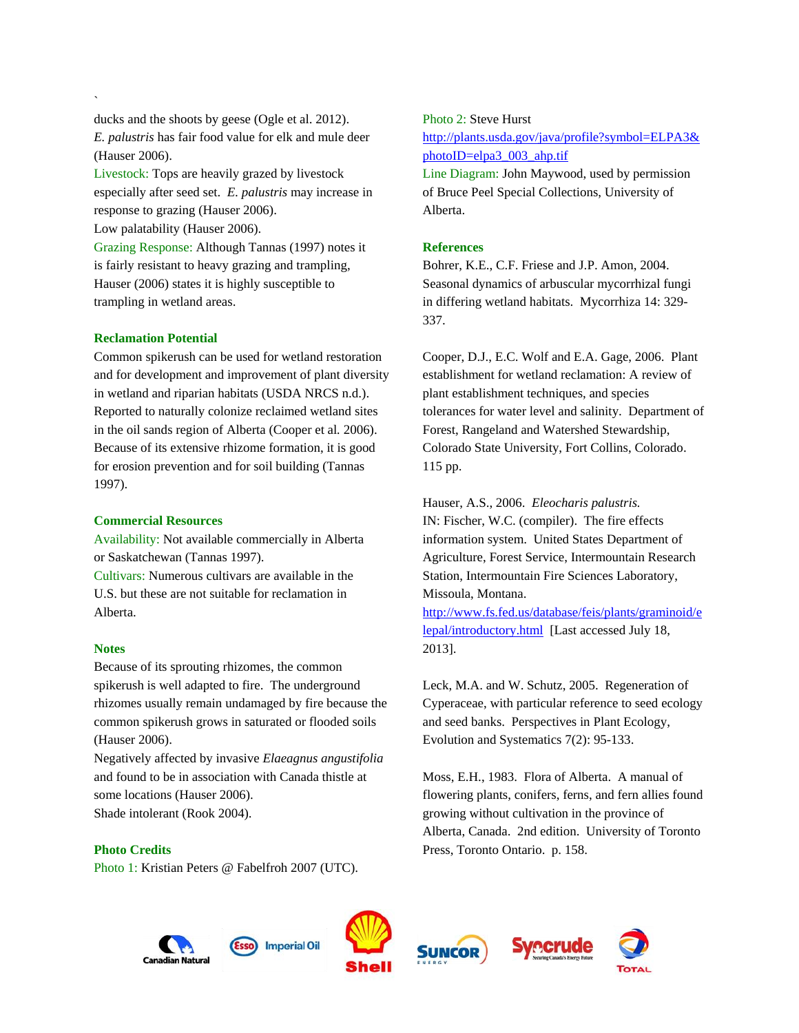ducks and the shoots by geese (Ogle et al. 2012). *E. palustris* has fair food value for elk and mule deer (Hauser 2006).

Livestock: Tops are heavily grazed by livestock especially after seed set. *E. palustris* may increase in response to grazing (Hauser 2006).

Low palatability (Hauser 2006).

Grazing Response: Although Tannas (1997) notes it is fairly resistant to heavy grazing and trampling, Hauser (2006) states it is highly susceptible to trampling in wetland areas.

# **Reclamation Potential**

`

Common spikerush can be used for wetland restoration and for development and improvement of plant diversity in wetland and riparian habitats (USDA NRCS n.d.). Reported to naturally colonize reclaimed wetland sites in the oil sands region of Alberta (Cooper et al*.* 2006). Because of its extensive rhizome formation, it is good for erosion prevention and for soil building (Tannas 1997).

# **Commercial Resources**

Availability: Not available commercially in Alberta or Saskatchewan (Tannas 1997). Cultivars: Numerous cultivars are available in the U.S. but these are not suitable for reclamation in Alberta.

# **Notes**

Because of its sprouting rhizomes, the common spikerush is well adapted to fire. The underground rhizomes usually remain undamaged by fire because the common spikerush grows in saturated or flooded soils (Hauser 2006).

Negatively affected by invasive *Elaeagnus angustifolia*  and found to be in association with Canada thistle at some locations (Hauser 2006). Shade intolerant (Rook 2004).

# **Photo Credits**

Photo 1: Kristian Peters [@ Fabelfroh](http://commons.wikimedia.org/wiki/User:Fabelfroh) 2007 (UTC).

Photo 2: Steve Hurst [http://plants.usda.gov/java/profile?symbol=ELPA3&](http://plants.usda.gov/java/profile?symbol=ELPA3&photoID=elpa3_003_ahp.tif) [photoID=elpa3\\_003\\_ahp.tif](http://plants.usda.gov/java/profile?symbol=ELPA3&photoID=elpa3_003_ahp.tif) Line Diagram: John Maywood, used by permission of Bruce Peel Special Collections, University of Alberta.

# **References**

Bohrer, K.E., C.F. Friese and J.P. Amon, 2004. Seasonal dynamics of arbuscular mycorrhizal fungi in differing wetland habitats. Mycorrhiza 14: 329- 337.

Cooper, D.J., E.C. Wolf and E.A. Gage, 2006. Plant establishment for wetland reclamation: A review of plant establishment techniques, and species tolerances for water level and salinity. Department of Forest, Rangeland and Watershed Stewardship, Colorado State University, Fort Collins, Colorado. 115 pp.

Hauser, A.S., 2006. *Eleocharis palustris.* IN: Fischer, W.C. (compiler). The fire effects information system. United States Department of Agriculture, Forest Service, Intermountain Research Station, Intermountain Fire Sciences Laboratory, Missoula, Montana.

[http://www.fs.fed.us/database/feis/plants/graminoid/e](http://www.fs.fed.us/database/feis/plants/graminoid/elepal/introductory.html) [lepal/introductory.html](http://www.fs.fed.us/database/feis/plants/graminoid/elepal/introductory.html) [Last accessed July 18, 2013].

Leck, M.A. and W. Schutz, 2005. Regeneration of Cyperaceae, with particular reference to seed ecology and seed banks. Perspectives in Plant Ecology, Evolution and Systematics 7(2): 95-133.

Moss, E.H., 1983. Flora of Alberta. A manual of flowering plants, conifers, ferns, and fern allies found growing without cultivation in the province of Alberta, Canada. 2nd edition. University of Toronto Press, Toronto Ontario. p. 158.